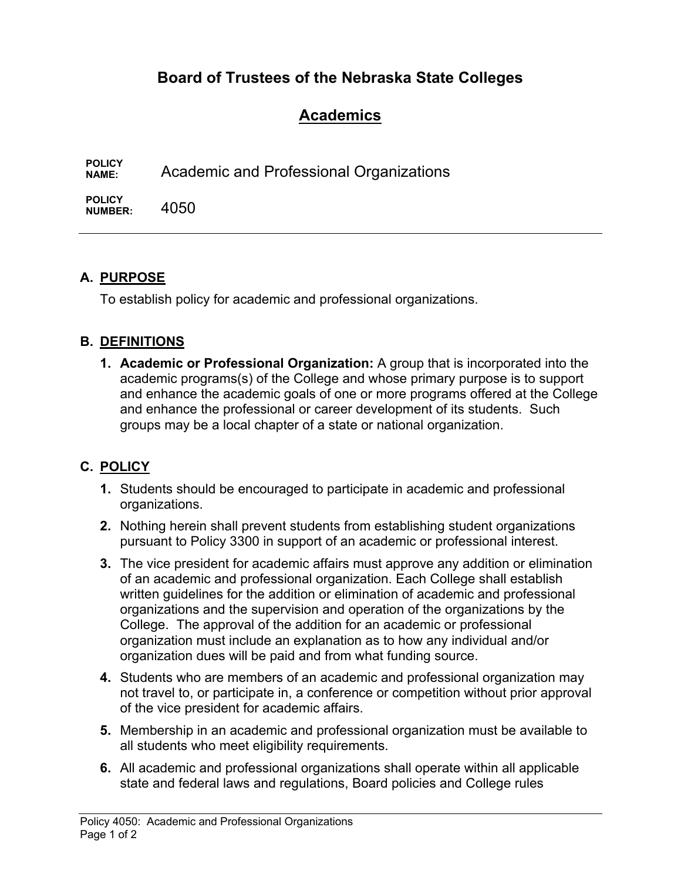# **Board of Trustees of the Nebraska State Colleges**

# **Academics**

**POLICY NAME:** Academic and Professional Organizations

**POLICY NUMBER:** 4050

# **A. PURPOSE**

To establish policy for academic and professional organizations.

### **B. DEFINITIONS**

**1. Academic or Professional Organization:** A group that is incorporated into the academic programs(s) of the College and whose primary purpose is to support and enhance the academic goals of one or more programs offered at the College and enhance the professional or career development of its students. Such groups may be a local chapter of a state or national organization.

# **C. POLICY**

- **1.** Students should be encouraged to participate in academic and professional organizations.
- **2.** Nothing herein shall prevent students from establishing student organizations pursuant to Policy 3300 in support of an academic or professional interest.
- **3.** The vice president for academic affairs must approve any addition or elimination of an academic and professional organization. Each College shall establish written guidelines for the addition or elimination of academic and professional organizations and the supervision and operation of the organizations by the College. The approval of the addition for an academic or professional organization must include an explanation as to how any individual and/or organization dues will be paid and from what funding source.
- **4.** Students who are members of an academic and professional organization may not travel to, or participate in, a conference or competition without prior approval of the vice president for academic affairs.
- **5.** Membership in an academic and professional organization must be available to all students who meet eligibility requirements.
- **6.** All academic and professional organizations shall operate within all applicable state and federal laws and regulations, Board policies and College rules